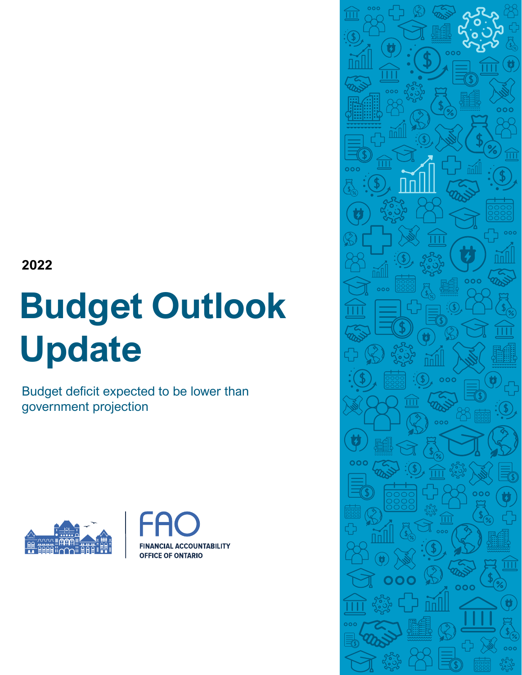**2022**

# **Budget Outlook Update**

Budget deficit expected to be lower than government projection





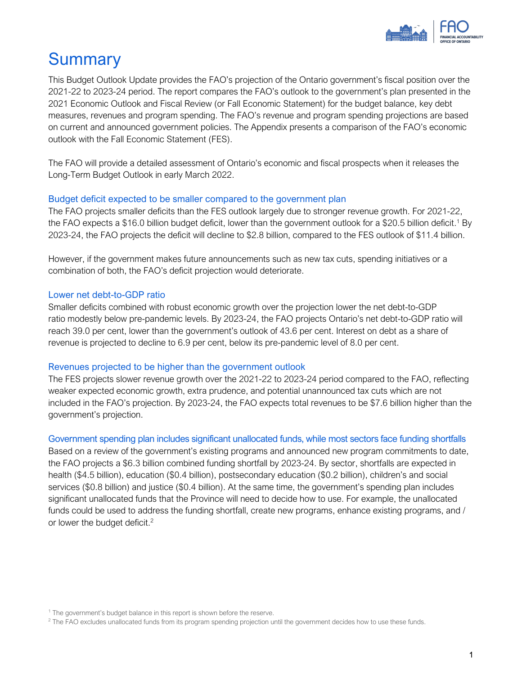

# **Summary**

This Budget Outlook Update provides the FAO's projection of the Ontario government's fiscal position over the 2021-22 to 2023-24 period. The report compares the FAO's outlook to the government's plan presented in the 2021 Economic Outlook and Fiscal Review (or Fall Economic Statement) for the budget balance, key debt measures, revenues and program spending. The FAO's revenue and program spending projections are based on current and announced government policies. The Appendix presents a comparison of the FAO's economic outlook with the Fall Economic Statement (FES).

The FAO will provide a detailed assessment of Ontario's economic and fiscal prospects when it releases the Long-Term Budget Outlook in early March 2022.

## Budget deficit expected to be smaller compared to the government plan

The FAO projects smaller deficits than the FES outlook largely due to stronger revenue growth. For 2021-22, the FAO expects a \$16.0 billion budget deficit, lower than the government outlook for a \$20.5 billion deficit.<sup>1</sup> By 2023-24, the FAO projects the deficit will decline to \$2.8 billion, compared to the FES outlook of \$11.4 billion.

However, if the government makes future announcements such as new tax cuts, spending initiatives or a combination of both, the FAO's deficit projection would deteriorate.

## Lower net debt-to-GDP ratio

Smaller deficits combined with robust economic growth over the projection lower the net debt-to-GDP ratio modestly below pre-pandemic levels. By 2023-24, the FAO projects Ontario's net debt-to-GDP ratio will reach 39.0 per cent, lower than the government's outlook of 43.6 per cent. Interest on debt as a share of revenue is projected to decline to 6.9 per cent, below its pre-pandemic level of 8.0 per cent.

#### Revenues projected to be higher than the government outlook

The FES projects slower revenue growth over the 2021-22 to 2023-24 period compared to the FAO, reflecting weaker expected economic growth, extra prudence, and potential unannounced tax cuts which are not included in the FAO's projection. By 2023-24, the FAO expects total revenues to be \$7.6 billion higher than the government's projection.

#### Government spending plan includes significant unallocated funds, while most sectors face funding shortfalls

Based on a review of the government's existing programs and announced new program commitments to date, the FAO projects a \$6.3 billion combined funding shortfall by 2023-24. By sector, shortfalls are expected in health (\$4.5 billion), education (\$0.4 billion), postsecondary education (\$0.2 billion), children's and social services (\$0.8 billion) and justice (\$0.4 billion). At the same time, the government's spending plan includes significant unallocated funds that the Province will need to decide how to use. For example, the unallocated funds could be used to address the funding shortfall, create new programs, enhance existing programs, and / or lower the budget deficit.<sup>2</sup>

<sup>&</sup>lt;sup>1</sup> The government's budget balance in this report is shown before the reserve.

<sup>&</sup>lt;sup>2</sup> The FAO excludes unallocated funds from its program spending projection until the government decides how to use these funds.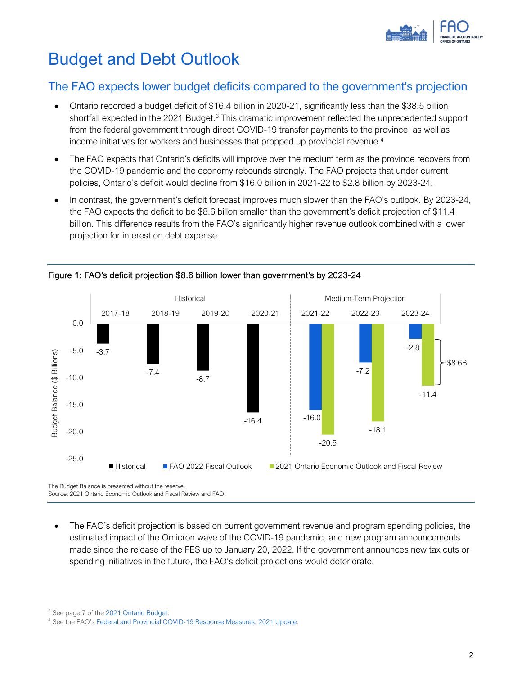

# Budget and Debt Outlook

## The FAO expects lower budget deficits compared to the government's projection

- Ontario recorded a budget deficit of \$16.4 billion in 2020-21, significantly less than the \$38.5 billion shortfall expected in the 2021 Budget.<sup>3</sup> This dramatic improvement reflected the unprecedented support from the federal government through direct COVID-19 transfer payments to the province, as well as income initiatives for workers and businesses that propped up provincial revenue. 4
- The FAO expects that Ontario's deficits will improve over the medium term as the province recovers from the COVID-19 pandemic and the economy rebounds strongly. The FAO projects that under current policies, Ontario's deficit would decline from \$16.0 billion in 2021-22 to \$2.8 billion by 2023-24.
- In contrast, the government's deficit forecast improves much slower than the FAO's outlook. By 2023-24, the FAO expects the deficit to be \$8.6 billon smaller than the government's deficit projection of \$11.4 billion. This difference results from the FAO's significantly higher revenue outlook combined with a lower projection for interest on debt expense.



## Figure 1: FAO's deficit projection \$8.6 billion lower than government's by 2023-24

The Budget Balance is presented without the reserve. Source: 2021 Ontario Economic Outlook and Fiscal Review and FAO.

• The FAO's deficit projection is based on current government revenue and program spending policies, the estimated impact of the Omicron wave of the COVID-19 pandemic, and new program announcements made since the release of the FES up to January 20, 2022. If the government announces new tax cuts or spending initiatives in the future, the FAO's deficit projections would deteriorate.

<sup>3</sup> See page 7 of th[e 2021 Ontario Budget.](https://budget.ontario.ca/2021/pdf/2021-ontario-budget-en.pdf)

<sup>4</sup> See the FAO's [Federal and Provincial COVID-19 Response Measures: 2021 Update.](https://www.fao-on.org/en/Blog/Publications/fed-prov-response-2021)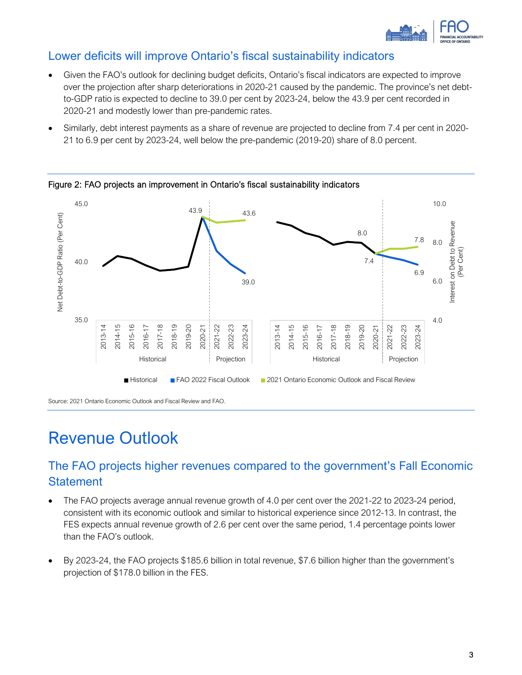

## Lower deficits will improve Ontario's fiscal sustainability indicators

- Given the FAO's outlook for declining budget deficits, Ontario's fiscal indicators are expected to improve over the projection after sharp deteriorations in 2020-21 caused by the pandemic. The province's net debtto-GDP ratio is expected to decline to 39.0 per cent by 2023-24, below the 43.9 per cent recorded in 2020-21 and modestly lower than pre-pandemic rates.
- Similarly, debt interest payments as a share of revenue are projected to decline from 7.4 per cent in 2020- 21 to 6.9 per cent by 2023-24, well below the pre-pandemic (2019-20) share of 8.0 percent.



Figure 2: FAO projects an improvement in Ontario's fiscal sustainability indicators

# Revenue Outlook

# The FAO projects higher revenues compared to the government's Fall Economic **Statement**

- The FAO projects average annual revenue growth of 4.0 per cent over the 2021-22 to 2023-24 period, consistent with its economic outlook and similar to historical experience since 2012-13. In contrast, the FES expects annual revenue growth of 2.6 per cent over the same period, 1.4 percentage points lower than the FAO's outlook.
- By 2023-24, the FAO projects \$185.6 billion in total revenue, \$7.6 billion higher than the government's projection of \$178.0 billion in the FES.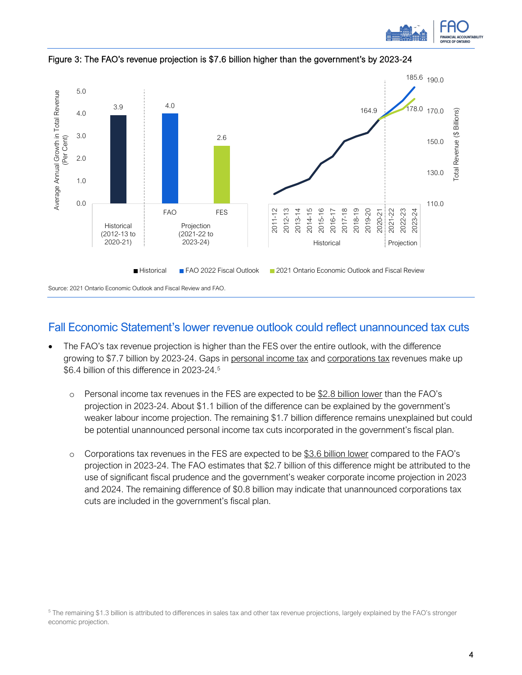



Figure 3: The FAO's revenue projection is \$7.6 billion higher than the government's by 2023-24

## Fall Economic Statement's lower revenue outlook could reflect unannounced tax cuts

- The FAO's tax revenue projection is higher than the FES over the entire outlook, with the difference growing to \$7.7 billion by 2023-24. Gaps in personal income tax and corporations tax revenues make up \$6.4 billion of this difference in 2023-24. 5
	- $\circ$  Personal income tax revenues in the FES are expected to be \$2.8 billion lower than the FAO's projection in 2023-24. About \$1.1 billion of the difference can be explained by the government's weaker labour income projection. The remaining \$1.7 billion difference remains unexplained but could be potential unannounced personal income tax cuts incorporated in the government's fiscal plan.
	- o Corporations tax revenues in the FES are expected to be \$3.6 billion lower compared to the FAO's projection in 2023-24. The FAO estimates that \$2.7 billion of this difference might be attributed to the use of significant fiscal prudence and the government's weaker corporate income projection in 2023 and 2024. The remaining difference of \$0.8 billion may indicate that unannounced corporations tax cuts are included in the government's fiscal plan.

<sup>5</sup> The remaining \$1.3 billion is attributed to differences in sales tax and other tax revenue projections, largely explained by the FAO's stronger economic projection.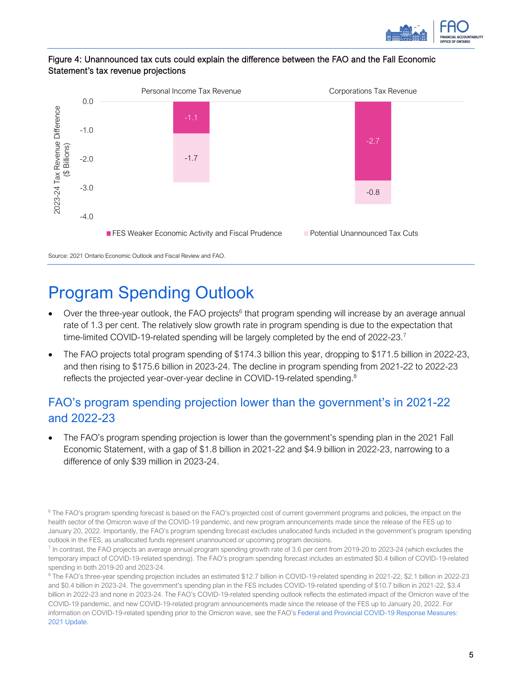

## Figure 4: Unannounced tax cuts could explain the difference between the FAO and the Fall Economic Statement's tax revenue projections



# Program Spending Outlook

- Over the three-year outlook, the FAO projects<sup>6</sup> that program spending will increase by an average annual rate of 1.3 per cent. The relatively slow growth rate in program spending is due to the expectation that time-limited COVID-19-related spending will be largely completed by the end of 2022-23.<sup>7</sup>
- The FAO projects total program spending of \$174.3 billion this year, dropping to \$171.5 billion in 2022-23, and then rising to \$175.6 billion in 2023-24. The decline in program spending from 2021-22 to 2022-23 reflects the projected year-over-year decline in COVID-19-related spending.<sup>8</sup>

# FAO's program spending projection lower than the government's in 2021-22 and 2022-23

• The FAO's program spending projection is lower than the government's spending plan in the 2021 Fall Economic Statement, with a gap of \$1.8 billion in 2021-22 and \$4.9 billion in 2022-23, narrowing to a difference of only \$39 million in 2023-24.

<sup>6</sup> The FAO's program spending forecast is based on the FAO's projected cost of current government programs and policies, the impact on the health sector of the Omicron wave of the COVID-19 pandemic, and new program announcements made since the release of the FES up to January 20, 2022. Importantly, the FAO's program spending forecast excludes unallocated funds included in the government's program spending outlook in the FES, as unallocated funds represent unannounced or upcoming program decisions.

<sup>7</sup> In contrast, the FAO projects an average annual program spending growth rate of 3.6 per cent from 2019-20 to 2023-24 (which excludes the temporary impact of COVID-19-related spending). The FAO's program spending forecast includes an estimated \$0.4 billion of COVID-19-related spending in both 2019-20 and 2023-24.

<sup>8</sup> The FAO's three-year spending projection includes an estimated \$12.7 billion in COVID-19-related spending in 2021-22, \$2.1 billion in 2022-23 and \$0.4 billion in 2023-24. The government's spending plan in the FES includes COVID-19-related spending of \$10.7 billion in 2021-22, \$3.4 billion in 2022-23 and none in 2023-24. The FAO's COVID-19-related spending outlook reflects the estimated impact of the Omicron wave of the COVID-19 pandemic, and new COVID-19-related program announcements made since the release of the FES up to January 20, 2022. For information on COVID-19-related spending prior to the Omicron wave, see the FAO's [Federal and Provincial COVID-19 Response Measures:](https://fao-on.org/en/Blog/Publications/fed-prov-response-2021)  [2021 Update.](https://fao-on.org/en/Blog/Publications/fed-prov-response-2021)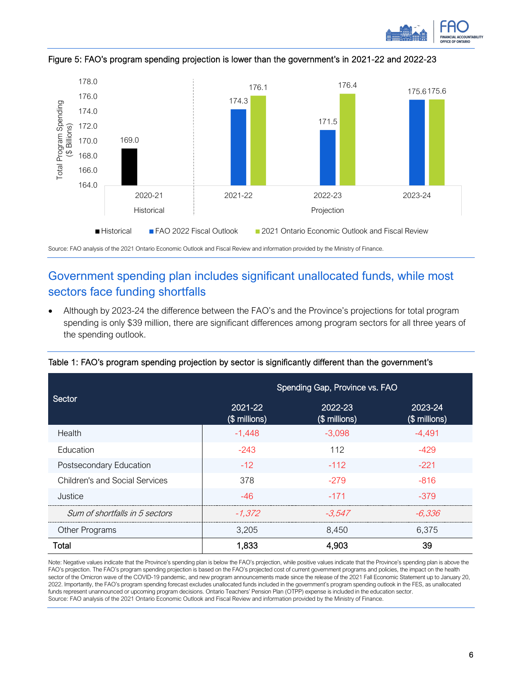



Figure 5: FAO's program spending projection is lower than the government's in 2021-22 and 2022-23

Source: FAO analysis of the 2021 Ontario Economic Outlook and Fiscal Review and information provided by the Ministry of Finance.

# Government spending plan includes significant unallocated funds, while most sectors face funding shortfalls

• Although by 2023-24 the difference between the FAO's and the Province's projections for total program spending is only \$39 million, there are significant differences among program sectors for all three years of the spending outlook.

|                                       | Spending Gap, Province vs. FAO |                          |                          |  |  |
|---------------------------------------|--------------------------------|--------------------------|--------------------------|--|--|
| Sector                                | 2021-22<br>(\$ millions)       | 2022-23<br>(\$ millions) | 2023-24<br>(\$ millions) |  |  |
| Health                                | $-1,448$                       | $-3,098$                 | -4,491                   |  |  |
| Education                             | $-243$                         | 112                      | $-429$                   |  |  |
| Postsecondary Education               | $-12$                          | $-112$                   | $-221$                   |  |  |
| <b>Children's and Social Services</b> | 378                            | $-279$                   | $-816$                   |  |  |
| Justice                               | $-46$                          | $-171$                   | $-379$                   |  |  |
| Sum of shortfalls in 5 sectors        | $-1.372$                       | -3.547                   | -6.336                   |  |  |
| Other Programs                        | 3,205                          | 8,450                    | 6,375                    |  |  |
| Total                                 | 1,833                          | 4,903                    | 39                       |  |  |

Table 1: FAO's program spending projection by sector is significantly different than the government's

Note: Negative values indicate that the Province's spending plan is below the FAO's projection, while positive values indicate that the Province's spending plan is above the FAO's projection. The FAO's program spending projection is based on the FAO's projected cost of current government programs and policies, the impact on the health sector of the Omicron wave of the COVID-19 pandemic, and new program announcements made since the release of the 2021 Fall Economic Statement up to January 20, 2022. Importantly, the FAO's program spending forecast excludes unallocated funds included in the government's program spending outlook in the FES, as unallocated funds represent unannounced or upcoming program decisions. Ontario Teachers' Pension Plan (OTPP) expense is included in the education sector. Source: FAO analysis of the 2021 Ontario Economic Outlook and Fiscal Review and information provided by the Ministry of Finance.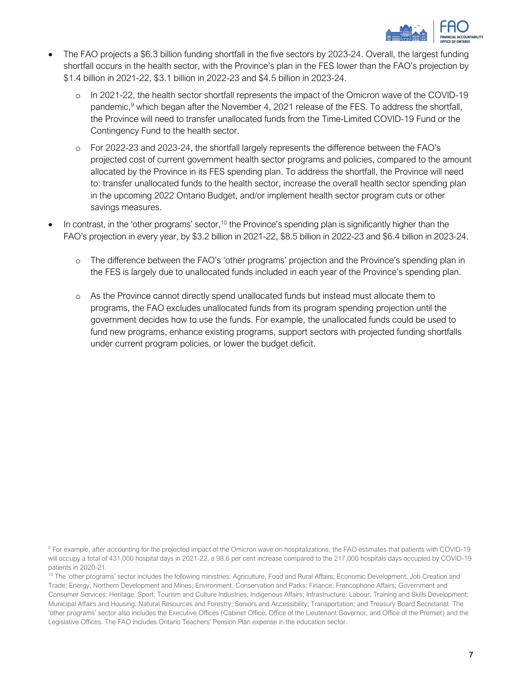

- The FAO projects a \$6.3 billion funding shortfall in the five sectors by 2023-24. Overall, the largest funding shortfall occurs in the health sector, with the Province's plan in the FES lower than the FAO's projection by \$1.4 billion in 2021-22, \$3.1 billion in 2022-23 and \$4.5 billion in 2023-24.
	- o In 2021-22, the health sector shortfall represents the impact of the Omicron wave of the COVID-19 pandemic,<sup>9</sup> which began after the November 4, 2021 release of the FES. To address the shortfall, the Province will need to transfer unallocated funds from the Time-Limited COVID-19 Fund or the Contingency Fund to the health sector.
	- o For 2022-23 and 2023-24, the shortfall largely represents the difference between the FAO's projected cost of current government health sector programs and policies, compared to the amount allocated by the Province in its FES spending plan. To address the shortfall, the Province will need to: transfer unallocated funds to the health sector, increase the overall health sector spending plan in the upcoming 2022 Ontario Budget, and/or implement health sector program cuts or other savings measures.
- In contrast, in the 'other programs' sector,<sup>10</sup> the Province's spending plan is significantly higher than the FAO's projection in every year, by \$3.2 billion in 2021-22, \$8.5 billion in 2022-23 and \$6.4 billion in 2023-24.
	- o The difference between the FAO's 'other programs' projection and the Province's spending plan in the FES is largely due to unallocated funds included in each year of the Province's spending plan.
	- o As the Province cannot directly spend unallocated funds but instead must allocate them to programs, the FAO excludes unallocated funds from its program spending projection until the government decides how to use the funds. For example, the unallocated funds could be used to fund new programs, enhance existing programs, support sectors with projected funding shortfalls under current program policies, or lower the budget deficit.

<sup>9</sup> For example, after accounting for the projected impact of the Omicron wave on hospitalizations, the FAO estimates that patients with COVID-19 will occupy a total of 431,000 hospital days in 2021-22, a 98.6 per cent increase compared to the 217,000 hospitals days occupied by COVID-19 patients in 2020-21.

<sup>10</sup> The 'other programs' sector includes the following ministries: Agriculture, Food and Rural Affairs; Economic Development, Job Creation and Trade; Energy, Northern Development and Mines; Environment, Conservation and Parks; Finance; Francophone Affairs; Government and Consumer Services; Heritage, Sport, Tourism and Culture Industries; Indigenous Affairs; Infrastructure; Labour, Training and Skills Development; Municipal Affairs and Housing; Natural Resources and Forestry; Seniors and Accessibility; Transportation; and Treasury Board Secretariat. The 'other programs' sector also includes the Executive Offices (Cabinet Office, Office of the Lieutenant Governor, and Office of the Premier) and the Legislative Offices. The FAO includes Ontario Teachers' Pension Plan expense in the education sector.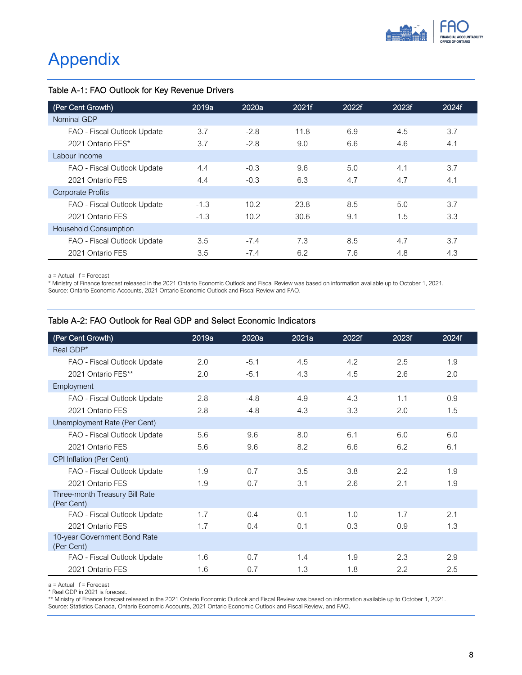

# Appendix

## Table A-1: FAO Outlook for Key Revenue Drivers

| (Per Cent Growth)            | 2019a  | 2020a             | 2021f | 2022f | 2023f | 2024f |
|------------------------------|--------|-------------------|-------|-------|-------|-------|
| Nominal GDP                  |        |                   |       |       |       |       |
| FAO - Fiscal Outlook Update  | 3.7    | $-2.8$            | 11.8  | 6.9   | 4.5   | 3.7   |
| 2021 Ontario FES*            | 3.7    | $-2.8$            | 9.0   | 6.6   | 4.6   | 4.1   |
| Labour Income                |        |                   |       |       |       |       |
| FAO - Fiscal Outlook Update  | 4.4    | $-0.3$            | 9.6   | 5.0   | 4.1   | 3.7   |
| 2021 Ontario FFS             | 4.4    | $-0.3$            | 6.3   | 4.7   | 4.7   | 4.1   |
| <b>Corporate Profits</b>     |        |                   |       |       |       |       |
| FAO - Fiscal Outlook Update  | $-1.3$ | 10.2 <sup>2</sup> | 23.8  | 8.5   | 5.0   | 3.7   |
| 2021 Ontario FES             | $-1.3$ | 10.2              | 30.6  | 9.1   | 1.5   | 3.3   |
| <b>Household Consumption</b> |        |                   |       |       |       |       |
| FAO - Fiscal Outlook Update  | 3.5    | $-7.4$            | 7.3   | 8.5   | 4.7   | 3.7   |
| 2021 Ontario FES             | 3.5    | $-7.4$            | 6.2   | 7.6   | 4.8   | 4.3   |

a = Actual f = Forecast

\* Ministry of Finance forecast released in the 2021 Ontario Economic Outlook and Fiscal Review was based on information available up to October 1, 2021.

Source: Ontario Economic Accounts, 2021 Ontario Economic Outlook and Fiscal Review and FAO.

#### Table A-2: FAO Outlook for Real GDP and Select Economic Indicators

| (Per Cent Growth)                            | 2019a | 2020a  | 2021a | 2022f | 2023f | 2024f |
|----------------------------------------------|-------|--------|-------|-------|-------|-------|
| Real GDP*                                    |       |        |       |       |       |       |
| FAO - Fiscal Outlook Update                  | 2.0   | $-5.1$ | 4.5   | 4.2   | 2.5   | 1.9   |
| 2021 Ontario FES**                           | 2.0   | $-5.1$ | 4.3   | 4.5   | 2.6   | 2.0   |
| Employment                                   |       |        |       |       |       |       |
| FAO - Fiscal Outlook Update                  | 2.8   | $-4.8$ | 4.9   | 4.3   | 1.1   | 0.9   |
| 2021 Ontario FES                             | 2.8   | $-4.8$ | 4.3   | 3.3   | 2.0   | 1.5   |
| Unemployment Rate (Per Cent)                 |       |        |       |       |       |       |
| FAO - Fiscal Outlook Update                  | 5.6   | 9.6    | 8.0   | 6.1   | 6.0   | 6.0   |
| 2021 Ontario FES                             | 5.6   | 9.6    | 8.2   | 6.6   | 6.2   | 6.1   |
| CPI Inflation (Per Cent)                     |       |        |       |       |       |       |
| FAO - Fiscal Outlook Update                  | 1.9   | 0.7    | 3.5   | 3.8   | 2.2   | 1.9   |
| 2021 Ontario FES                             | 1.9   | 0.7    | 3.1   | 2.6   | 2.1   | 1.9   |
| Three-month Treasury Bill Rate<br>(Per Cent) |       |        |       |       |       |       |
| FAO - Fiscal Outlook Update                  | 1.7   | 0.4    | 0.1   | 1.0   | 1.7   | 2.1   |
| 2021 Ontario FES                             | 1.7   | 0.4    | 0.1   | 0.3   | 0.9   | 1.3   |
| 10-year Government Bond Rate<br>(Per Cent)   |       |        |       |       |       |       |
| FAO - Fiscal Outlook Update                  | 1.6   | 0.7    | 1.4   | 1.9   | 2.3   | 2.9   |
| 2021 Ontario FES                             | 1.6   | 0.7    | 1.3   | 1.8   | 2.2   | 2.5   |

a = Actual f = Forecast

\* Real GDP in 2021 is forecast.

\*\* Ministry of Finance forecast released in the 2021 Ontario Economic Outlook and Fiscal Review was based on information available up to October 1, 2021. Source: Statistics Canada, Ontario Economic Accounts, 2021 Ontario Economic Outlook and Fiscal Review, and FAO.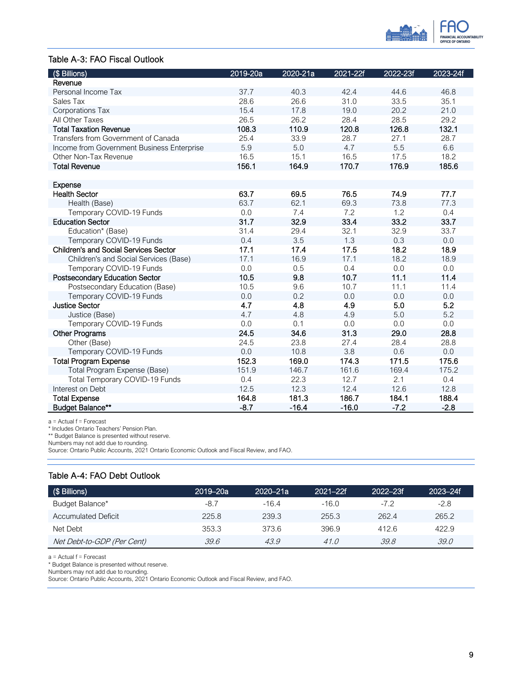

#### Table A-3: FAO Fiscal Outlook

| (\$ Billions)                                | 2019-20a | 2020-21a | 2021-22f | 2022-23f | 2023-24f |
|----------------------------------------------|----------|----------|----------|----------|----------|
| Revenue                                      |          |          |          |          |          |
| Personal Income Tax                          | 37.7     | 40.3     | 42.4     | 44.6     | 46.8     |
| Sales Tax                                    | 28.6     | 26.6     | 31.0     | 33.5     | 35.1     |
| Corporations Tax                             | 15.4     | 17.8     | 19.0     | 20.2     | 21.0     |
| All Other Taxes                              | 26.5     | 26.2     | 28.4     | 28.5     | 29.2     |
| <b>Total Taxation Revenue</b>                | 108.3    | 110.9    | 120.8    | 126.8    | 132.1    |
| Transfers from Government of Canada          | 25.4     | 33.9     | 28.7     | 27.1     | 28.7     |
| Income from Government Business Enterprise   | 5.9      | 5.0      | 4.7      | 5.5      | 6.6      |
| Other Non-Tax Revenue                        | 16.5     | 15.1     | 16.5     | 17.5     | 18.2     |
| <b>Total Revenue</b>                         | 156.1    | 164.9    | 170.7    | 176.9    | 185.6    |
|                                              |          |          |          |          |          |
| <b>Expense</b>                               |          |          |          |          |          |
| <b>Health Sector</b>                         | 63.7     | 69.5     | 76.5     | 74.9     | 77.7     |
| Health (Base)                                | 63.7     | 62.1     | 69.3     | 73.8     | 77.3     |
| Temporary COVID-19 Funds                     | 0.0      | 7.4      | 7.2      | 1.2      | 0.4      |
| <b>Education Sector</b>                      | 31.7     | 32.9     | 33.4     | 33.2     | 33.7     |
| Education* (Base)                            | 31.4     | 29.4     | 32.1     | 32.9     | 33.7     |
| Temporary COVID-19 Funds                     | 0.4      | 3.5      | 1.3      | 0.3      | 0.0      |
| <b>Children's and Social Services Sector</b> | 17.1     | 17.4     | 17.5     | 18.2     | 18.9     |
| Children's and Social Services (Base)        | 17.1     | 16.9     | 17.1     | 18.2     | 18.9     |
| Temporary COVID-19 Funds                     | 0.0      | 0.5      | 0.4      | 0.0      | 0.0      |
| Postsecondary Education Sector               | 10.5     | 9.8      | 10.7     | 11.1     | 11.4     |
| Postsecondary Education (Base)               | 10.5     | 9.6      | 10.7     | 11.1     | 11.4     |
| Temporary COVID-19 Funds                     | 0.0      | 0.2      | 0.0      | 0.0      | 0.0      |
| <b>Justice Sector</b>                        | 4.7      | 4.8      | 4.9      | 5.0      | 5.2      |
| Justice (Base)                               | 4.7      | 4.8      | 4.9      | 5.0      | 5.2      |
| Temporary COVID-19 Funds                     | 0.0      | 0.1      | 0.0      | 0.0      | 0.0      |
| <b>Other Programs</b>                        | 24.5     | 34.6     | 31.3     | 29.0     | 28.8     |
| Other (Base)                                 | 24.5     | 23.8     | 27.4     | 28.4     | 28.8     |
| Temporary COVID-19 Funds                     | 0.0      | 10.8     | 3.8      | 0.6      | 0.0      |
| <b>Total Program Expense</b>                 | 152.3    | 169.0    | 174.3    | 171.5    | 175.6    |
| Total Program Expense (Base)                 | 151.9    | 146.7    | 161.6    | 169.4    | 175.2    |
| Total Temporary COVID-19 Funds               | 0.4      | 22.3     | 12.7     | 2.1      | 0.4      |
| Interest on Debt                             | 12.5     | 12.3     | 12.4     | 12.6     | 12.8     |
| <b>Total Expense</b>                         | 164.8    | 181.3    | 186.7    | 184.1    | 188.4    |
| <b>Budget Balance**</b>                      | $-8.7$   | $-16.4$  | $-16.0$  | $-7.2$   | $-2.8$   |

 $a =$  Actual  $f =$  Forecast

\* Includes Ontario Teachers' Pension Plan.

\*\* Budget Balance is presented without reserve.

Numbers may not add due to rounding.

Source: Ontario Public Accounts, 2021 Ontario Economic Outlook and Fiscal Review, and FAO.

#### Table A-4: FAO Debt Outlook

| (\$ Billions)              | 2019–20a | 2020–21a | $2021 - 22f$ | $2022 - 23f$ | $2023 - 24f$ |
|----------------------------|----------|----------|--------------|--------------|--------------|
| Budget Balance*            | $-8.7$   | $-16.4$  | $-16.0$      | $-7.2$       | $-2.8$       |
| <b>Accumulated Deficit</b> | 225.8    | 239.3    | 255.3        | 262.4        | 265.2        |
| Net Debt                   | 353.3    | 373.6    | 396.9        | 412.6        | 422.9        |
| Net Debt-to-GDP (Per Cent) | 39.6     | 43.9     | 41.O         | 39.8         | 39.0         |

a = Actual f = Forecast

\* Budget Balance is presented without reserve.

Numbers may not add due to rounding.

Source: Ontario Public Accounts, 2021 Ontario Economic Outlook and Fiscal Review, and FAO.